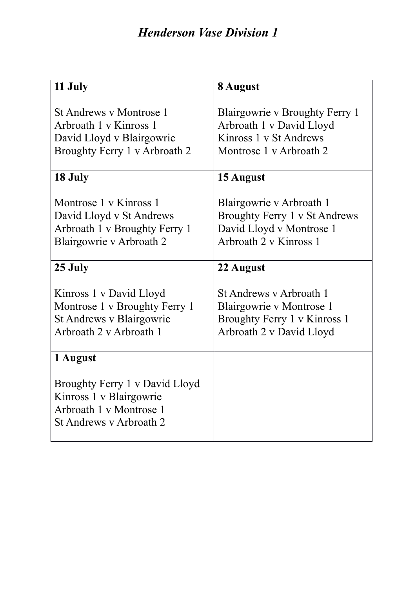| 11 July                                                                                                                | 8 August                                                                                                        |
|------------------------------------------------------------------------------------------------------------------------|-----------------------------------------------------------------------------------------------------------------|
| <b>St Andrews v Montrose 1</b><br>Arbroath 1 v Kinross 1<br>David Lloyd v Blairgowrie<br>Broughty Ferry 1 v Arbroath 2 | Blairgowrie v Broughty Ferry 1<br>Arbroath 1 v David Lloyd<br>Kinross 1 v St Andrews<br>Montrose 1 v Arbroath 2 |
| 18 July                                                                                                                | 15 August                                                                                                       |
| Montrose 1 v Kinross 1<br>David Lloyd v St Andrews<br>Arbroath 1 v Broughty Ferry 1<br>Blairgowrie v Arbroath 2        | Blairgowrie v Arbroath 1<br>Broughty Ferry 1 v St Andrews<br>David Lloyd v Montrose 1<br>Arbroath 2 v Kinross 1 |
| 25 July                                                                                                                | 22 August                                                                                                       |
| Kinross 1 v David Lloyd<br>Montrose 1 v Broughty Ferry 1<br>St Andrews v Blairgowrie<br>Arbroath 2 v Arbroath 1        | St Andrews y Arbroath 1<br>Blairgowrie v Montrose 1<br>Broughty Ferry 1 v Kinross 1<br>Arbroath 2 v David Lloyd |
| 1 August                                                                                                               |                                                                                                                 |
| Broughty Ferry 1 v David Lloyd<br>Kinross 1 v Blairgowrie<br>Arbroath 1 v Montrose 1<br>St Andrews y Arbroath 2        |                                                                                                                 |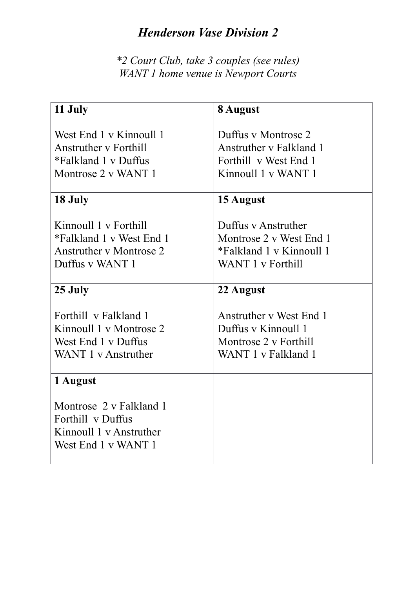*\*2 Court Club, take 3 couples (see rules) WANT 1 home venue is Newport Courts*

| 11 July                                                                                                | 8 August                                                                                        |
|--------------------------------------------------------------------------------------------------------|-------------------------------------------------------------------------------------------------|
| West End 1 v Kinnoull 1<br><b>Anstruther y Forthill</b><br>*Falkland 1 v Duffus<br>Montrose 2 v WANT 1 | Duffus y Montrose 2<br>Anstruther y Falkland 1<br>Forthill v West End 1<br>Kinnoull 1 v WANT 1  |
| 18 July                                                                                                | 15 August                                                                                       |
| Kinnoull 1 v Forthill<br>*Falkland 1 v West End 1<br><b>Anstruther v Montrose 2</b><br>Duffus v WANT 1 | Duffus y Anstruther<br>Montrose 2 v West End 1<br>*Falkland 1 v Kinnoull 1<br>WANT 1 v Forthill |
| 25 July                                                                                                | 22 August                                                                                       |
| Forthill v Falkland 1<br>Kinnoull 1 v Montrose 2<br>West End 1 v Duffus<br>WANT 1 v Anstruther         | Anstruther v West End 1<br>Duffus y Kinnoull 1<br>Montrose 2 v Forthill<br>WANT 1 v Falkland 1  |
| 1 August                                                                                               |                                                                                                 |
| Montrose 2 v Falkland 1<br>Forthill v Duffus<br>Kinnoull 1 v Anstruther<br>West End 1 v WANT 1         |                                                                                                 |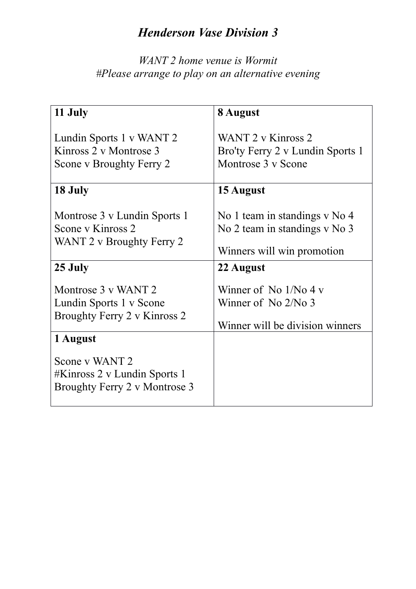#### *WANT 2 home venue is Wormit #Please arrange to play on an alternative evening*

| 11 July                                                                                    | 8 August                                                                                     |
|--------------------------------------------------------------------------------------------|----------------------------------------------------------------------------------------------|
| Lundin Sports 1 v WANT 2<br>Kinross 2 v Montrose 3<br>Scone v Broughty Ferry 2             | WANT 2 v Kinross 2<br>Bro'ty Ferry 2 v Lundin Sports 1<br>Montrose 3 v Scone                 |
| 18 July                                                                                    | 15 August                                                                                    |
| Montrose 3 v Lundin Sports 1<br>Scone y Kinross 2<br>WANT 2 v Broughty Ferry 2             | No 1 team in standings v No 4<br>No 2 team in standings v No 3<br>Winners will win promotion |
| 25 July                                                                                    | 22 August                                                                                    |
| Montrose 3 v WANT 2<br>Lundin Sports 1 v Scone<br>Broughty Ferry 2 v Kinross 2<br>1 August | Winner of No $1/No 4v$<br>Winner of No $2/N0$ 3<br>Winner will be division winners           |
| Scone v WANT 2<br>#Kinross 2 v Lundin Sports 1<br>Broughty Ferry 2 v Montrose 3            |                                                                                              |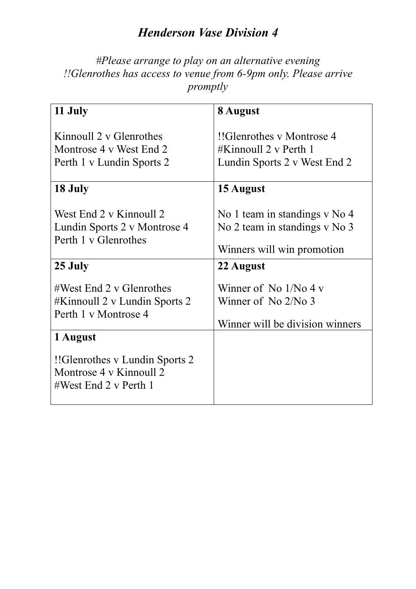*#Please arrange to play on an alternative evening !!Glenrothes has access to venue from 6-9pm only. Please arrive promptly*

| 11 July                                                                                                                                                        | 8 August                                                                                                  |
|----------------------------------------------------------------------------------------------------------------------------------------------------------------|-----------------------------------------------------------------------------------------------------------|
| Kinnoull 2 v Glenrothes<br>Montrose 4 v West End 2<br>Perth 1 v Lundin Sports 2                                                                                | !!Glenrothes y Montrose 4<br>#Kinnoull $2 \text{ v}$ Perth 1<br>Lundin Sports 2 v West End 2              |
| 18 July                                                                                                                                                        | 15 August                                                                                                 |
| West End 2 v Kinnoull 2<br>Lundin Sports 2 v Montrose 4<br>Perth 1 v Glenrothes                                                                                | No 1 team in standings v No 4<br>No 2 team in standings v No 3<br>Winners will win promotion              |
| 25 July                                                                                                                                                        | 22 August                                                                                                 |
| $\#West$ End 2 v Glenrothes<br>#Kinnoull 2 v Lundin Sports 2<br>Perth 1 v Montrose 4<br>1 August<br>!! Glenrothes v Lundin Sports 2<br>Montrose 4 v Kinnoull 2 | Winner of No $1/N_0$ 4 v<br>Winner of $\mathrm{No}$ 2/ $\mathrm{No}$ 3<br>Winner will be division winners |
| #West End 2 v Perth 1                                                                                                                                          |                                                                                                           |